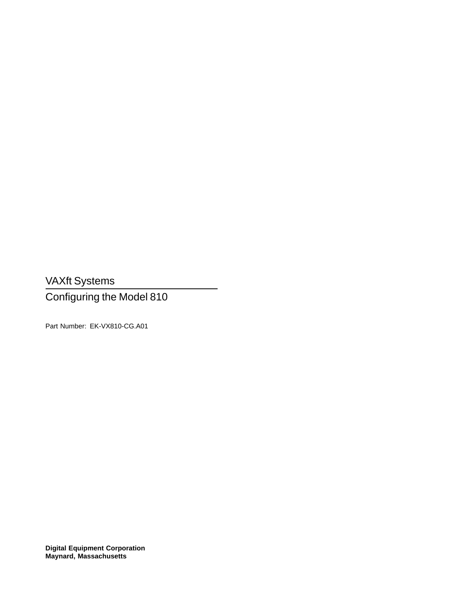VAXft Systems

Configuring the Model 810

Part Number: EK-VX810-CG.A01

**Digital Equipment Corporation Maynard, Massachusetts**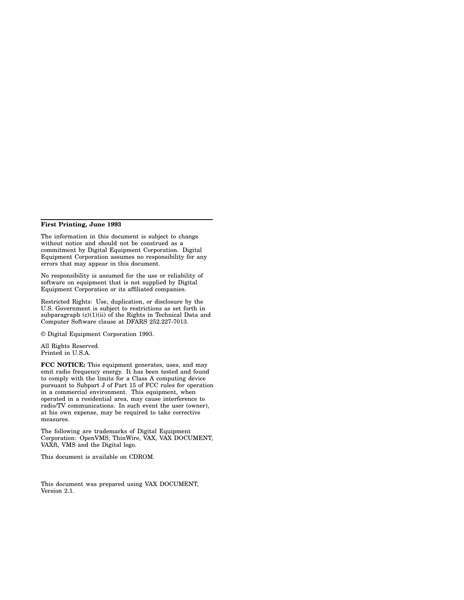#### **First Printing, June 1993**

The information in this document is subject to change without notice and should not be construed as a commitment by Digital Equipment Corporation. Digital Equipment Corporation assumes no responsibility for any errors that may appear in this document.

No responsibility is assumed for the use or reliability of software on equipment that is not supplied by Digital Equipment Corporation or its affiliated companies.

Restricted Rights: Use, duplication, or disclosure by the U.S. Government is subject to restrictions as set forth in subparagraph  $(c)(1)(ii)$  of the Rights in Technical Data and Computer Software clause at DFARS 252.227-7013.

© Digital Equipment Corporation 1993.

All Rights Reserved. Printed in U.S.A.

**FCC NOTICE:** This equipment generates, uses, and may emit radio frequency energy. It has been tested and found to comply with the limits for a Class A computing device pursuant to Subpart J of Part 15 of FCC rules for operation in a commercial environment. This equipment, when operated in a residential area, may cause interference to radio/TV communications. In such event the user (owner), at his own expense, may be required to take corrective measures.

The following are trademarks of Digital Equipment Corporation: OpenVMS, ThinWire, VAX, VAX DOCUMENT, VAXft, VMS and the Digital logo.

This document is available on CDROM.

This document was prepared using VAX DOCUMENT, Version 2.1.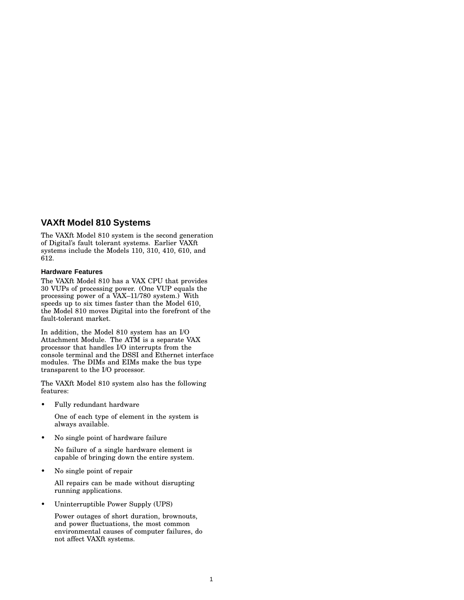### **VAXft Model 810 Systems**

The VAXft Model 810 system is the second generation of Digital's fault tolerant systems. Earlier VAXft systems include the Models 110, 310, 410, 610, and 612.

#### **Hardware Features**

The VAXft Model 810 has a VAX CPU that provides 30 VUPs of processing power. (One VUP equals the processing power of a VAX–11/780 system.) With speeds up to six times faster than the Model 610, the Model 810 moves Digital into the forefront of the fault-tolerant market.

In addition, the Model 810 system has an I/O Attachment Module. The ATM is a separate VAX processor that handles I/O interrupts from the console terminal and the DSSI and Ethernet interface modules. The DIMs and EIMs make the bus type transparent to the I/O processor.

The VAXft Model 810 system also has the following features:

• Fully redundant hardware

One of each type of element in the system is always available.

• No single point of hardware failure

No failure of a single hardware element is capable of bringing down the entire system.

• No single point of repair

All repairs can be made without disrupting running applications.

• Uninterruptible Power Supply (UPS)

Power outages of short duration, brownouts, and power fluctuations, the most common environmental causes of computer failures, do not affect VAXft systems.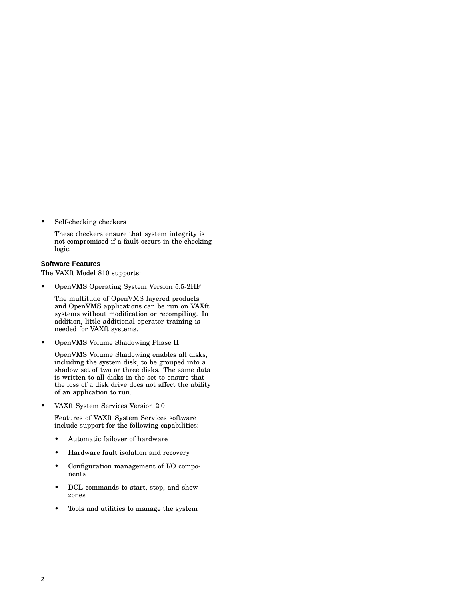Self-checking checkers

These checkers ensure that system integrity is not compromised if a fault occurs in the checking logic.

#### **Software Features**

The VAXft Model 810 supports:

• OpenVMS Operating System Version 5.5-2HF

The multitude of OpenVMS layered products and OpenVMS applications can be run on VAXft systems without modification or recompiling. In addition, little additional operator training is needed for VAXft systems.

• OpenVMS Volume Shadowing Phase II

OpenVMS Volume Shadowing enables all disks, including the system disk, to be grouped into a shadow set of two or three disks. The same data is written to all disks in the set to ensure that the loss of a disk drive does not affect the ability of an application to run.

• VAXft System Services Version 2.0

Features of VAXft System Services software include support for the following capabilities:

- Automatic failover of hardware
- Hardware fault isolation and recovery
- Configuration management of I/O components
- DCL commands to start, stop, and show zones
- Tools and utilities to manage the system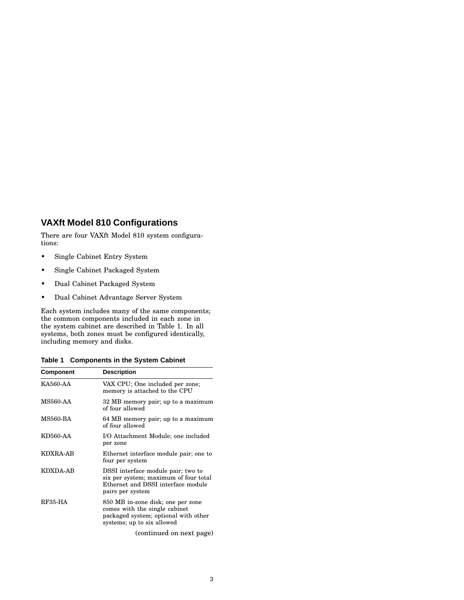## **VAXft Model 810 Configurations**

There are four VAXft Model 810 system configurations:

- Single Cabinet Entry System
- Single Cabinet Packaged System
- Dual Cabinet Packaged System
- Dual Cabinet Advantage Server System

Each system includes many of the same components; the common components included in each zone in the system cabinet are described in Table 1. In all systems, both zones must be configured identically, including memory and disks.

**Table 1 Components in the System Cabinet**

| Component       | <b>Description</b>                                                                                                                       |
|-----------------|------------------------------------------------------------------------------------------------------------------------------------------|
| <b>KA560-AA</b> | VAX CPU; One included per zone;<br>memory is attached to the CPU                                                                         |
| MS560-AA        | 32 MB memory pair; up to a maximum<br>of four allowed                                                                                    |
| <b>MS560-BA</b> | 64 MB memory pair; up to a maximum<br>of four allowed                                                                                    |
| KD560-AA        | I/O Attachment Module; one included<br>per zone                                                                                          |
| <b>KDXRA-AB</b> | Ethernet interface module pair; one to<br>four per system                                                                                |
| KDXDA-AB        | DSSI interface module pair; two to<br>six per system; maximum of four total<br>Ethernet and DSSI interface module<br>pairs per system    |
| <b>RF35-HA</b>  | 850 MB in-zone disk; one per zone<br>comes with the single cabinet<br>packaged system; optional with other<br>systems; up to six allowed |
|                 | (continued on next page)                                                                                                                 |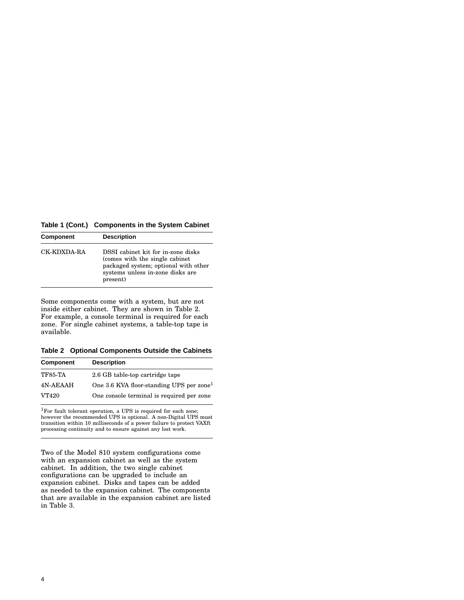**Table 1 (Cont.) Components in the System Cabinet**

| Component   | <b>Description</b>                                                                                                                                            |
|-------------|---------------------------------------------------------------------------------------------------------------------------------------------------------------|
| CK-KDXDA-RA | DSSI cabinet kit for in-zone disks<br>(comes with the single cabinet)<br>packaged system; optional with other<br>systems unless in-zone disks are<br>present) |

Some components come with a system, but are not inside either cabinet. They are shown in Table 2. For example, a console terminal is required for each zone. For single cabinet systems, a table-top tape is available.

**Table 2 Optional Components Outside the Cabinets**

| <b>Component</b> | <b>Description</b>                                   |
|------------------|------------------------------------------------------|
| <b>TF85-TA</b>   | 2.6 GB table-top cartridge tape                      |
| 4N-AEAAH         | One 3.6 KVA floor-standing UPS per zone <sup>1</sup> |
| VT420            | One console terminal is required per zone            |

<sup>1</sup>For fault tolerant operation, a UPS is required for each zone; however the recommended UPS is optional. A non-Digital UPS must transition within 10 milliseconds of a power failure to protect VAXft processing continuity and to ensure against any lost work.

Two of the Model 810 system configurations come with an expansion cabinet as well as the system cabinet. In addition, the two single cabinet configurations can be upgraded to include an expansion cabinet. Disks and tapes can be added as needed to the expansion cabinet. The components that are available in the expansion cabinet are listed in Table 3.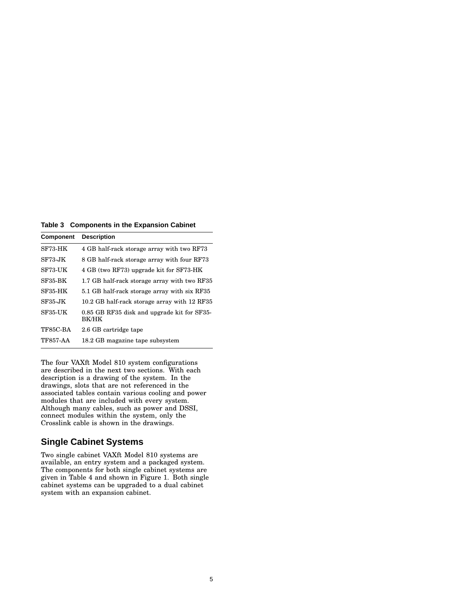**Table 3 Components in the Expansion Cabinet**

| <b>Component</b> | <b>Description</b>                                          |
|------------------|-------------------------------------------------------------|
| SF73-HK          | 4 GB half-rack storage array with two RF73                  |
| SF73-JK          | 8 GB half-rack storage array with four RF73                 |
| SF73-UK          | 4 GB (two RF73) upgrade kit for SF73-HK                     |
| SF35-BK          | 1.7 GB half-rack storage array with two RF35                |
| SF35-HK          | 5.1 GB half-rack storage array with six RF35                |
| <b>SF35-JK</b>   | 10.2 GB half-rack storage array with 12 RF35                |
| SF35-UK          | 0.85 GB RF35 disk and upgrade kit for SF35-<br><b>BK/HK</b> |
| TF85C-BA         | 2.6 GB cartridge tape                                       |
| <b>TF857-AA</b>  | 18.2 GB magazine tape subsystem                             |

The four VAXft Model 810 system configurations are described in the next two sections. With each description is a drawing of the system. In the drawings, slots that are not referenced in the associated tables contain various cooling and power modules that are included with every system. Although many cables, such as power and DSSI, connect modules within the system, only the Crosslink cable is shown in the drawings.

### **Single Cabinet Systems**

Two single cabinet VAXft Model 810 systems are available, an entry system and a packaged system. The components for both single cabinet systems are given in Table 4 and shown in Figure 1. Both single cabinet systems can be upgraded to a dual cabinet system with an expansion cabinet.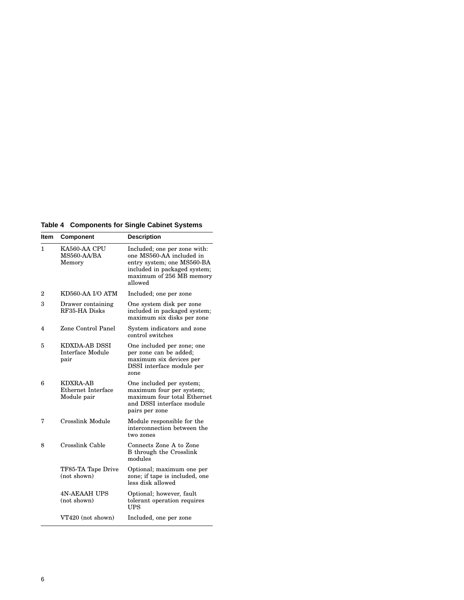**Table 4 Components for Single Cabinet Systems**

| ltem | <b>Component</b>                                 | <b>Description</b>                                                                                                                                            |
|------|--------------------------------------------------|---------------------------------------------------------------------------------------------------------------------------------------------------------------|
| 1.   | KA560-AA CPU<br>MS560-AA/BA<br>Memory            | Included; one per zone with:<br>one MS560-AA included in<br>entry system; one MS560-BA<br>included in packaged system;<br>maximum of 256 MB memory<br>allowed |
| 2    | KD560-AA I/O ATM                                 | Included; one per zone                                                                                                                                        |
| 3    | Drawer containing<br>RF35-HA Disks               | One system disk per zone<br>included in packaged system;<br>maximum six disks per zone                                                                        |
| 4    | Zone Control Panel                               | System indicators and zone<br>control switches                                                                                                                |
| 5    | <b>KDXDA-AB DSSI</b><br>Interface Module<br>pair | One included per zone; one<br>per zone can be added;<br>maximum six devices per<br>DSSI interface module per<br>zone                                          |
| 6    | KDXRA-AB<br>Ethernet Interface<br>Module pair    | One included per system;<br>maximum four per system;<br>maximum four total Ethernet<br>and DSSI interface module<br>pairs per zone                            |
| 7    | Crosslink Module                                 | Module responsible for the<br>interconnection between the<br>two zones                                                                                        |
| 8    | Crosslink Cable                                  | Connects Zone A to Zone<br><b>B</b> through the Crosslink<br>modules                                                                                          |
|      | TF85-TA Tape Drive<br>(not shown)                | Optional; maximum one per<br>zone; if tape is included, one<br>less disk allowed                                                                              |
|      | <b>4N-AEAAH UPS</b><br>(not shown)               | Optional; however, fault<br>tolerant operation requires<br><b>UPS</b>                                                                                         |
|      | VT420 (not shown)                                | Included, one per zone                                                                                                                                        |
|      |                                                  |                                                                                                                                                               |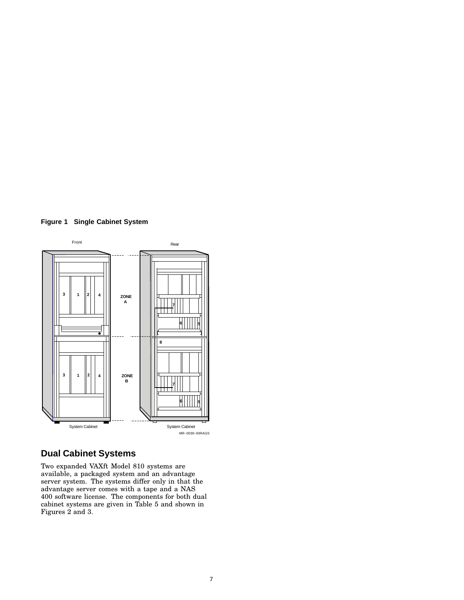



# **Dual Cabinet Systems**

Two expanded VAXft Model 810 systems are available, a packaged system and an advantage server system. The systems differ only in that the advantage server comes with a tape and a NAS 400 software license. The components for both dual cabinet systems are given in Table 5 and shown in Figures 2 and 3.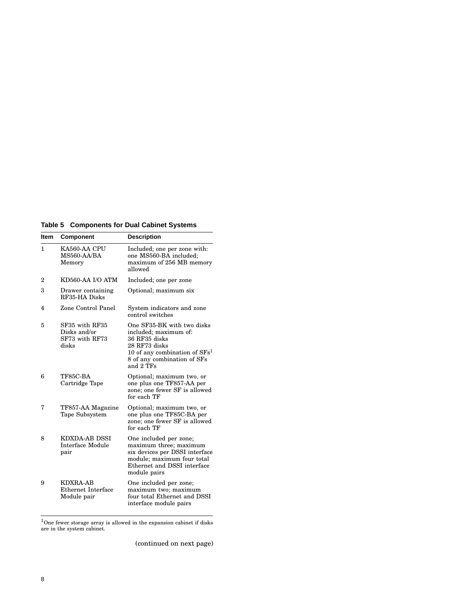**Table 5 Components for Dual Cabinet Systems**

| Item | <b>Component</b>                                          | <b>Description</b>                                                                                                                                                   |
|------|-----------------------------------------------------------|----------------------------------------------------------------------------------------------------------------------------------------------------------------------|
| 1.   | KA560-AA CPU<br>MS560-AA/BA<br>Memory                     | Included; one per zone with:<br>one MS560-BA included;<br>maximum of 256 MB memory<br>allowed                                                                        |
| 2    | KD560-AA I/O ATM                                          | Included; one per zone                                                                                                                                               |
| 3    | Drawer containing<br>RF35-HA Disks                        | Optional; maximum six                                                                                                                                                |
| 4    | Zone Control Panel                                        | System indicators and zone<br>control switches                                                                                                                       |
| 5    | SF35 with RF35<br>Disks and/or<br>SF73 with RF73<br>disks | One SF35-BK with two disks<br>included; maximum of:<br>36 RF35 disks<br>28 RF73 disks<br>10 of any combination of $SFs1$<br>8 of any combination of SFs<br>and 2 TFs |
| 6    | TF85C-BA<br>Cartridge Tape                                | Optional; maximum two, or<br>one plus one TF857-AA per<br>zone; one fewer SF is allowed<br>for each TF                                                               |
| 7    | TF857-AA Magazine<br>Tape Subsystem                       | Optional; maximum two, or<br>one plus one TF85C-BA per<br>zone; one fewer SF is allowed<br>for each TF                                                               |
| 8    | KDXDA-AB DSSI<br>Interface Module<br>pair                 | One included per zone;<br>maximum three; maximum<br>six devices per DSSI interface<br>module; maximum four total<br>Ethernet and DSSI interface<br>module pairs      |
| 9    | KDXRA-AB<br><b>Ethernet Interface</b><br>Module pair      | One included per zone;<br>maximum two; maximum<br>four total Ethernet and DSSI<br>interface module pairs                                                             |

 $1$ One fewer storage array is allowed in the expansion cabinet if disks are in the system cabinet.

(continued on next page)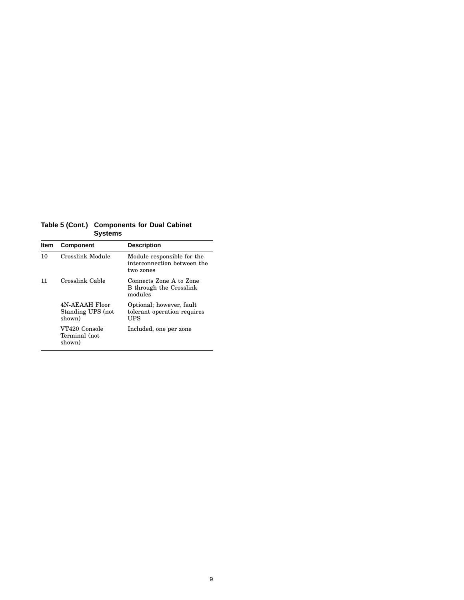**Table 5 (Cont.) Components for Dual Cabinet Systems**

| Item | <b>Component</b>                              | <b>Description</b>                                                     |
|------|-----------------------------------------------|------------------------------------------------------------------------|
| 10   | Crosslink Module                              | Module responsible for the<br>interconnection between the<br>two zones |
| 11   | Crosslink Cable                               | Connects Zone A to Zone<br>B through the Crosslink<br>modules          |
|      | 4N-AEAAH Floor<br>Standing UPS (not<br>shown) | Optional; however, fault<br>tolerant operation requires<br>UPS         |
|      | VT420 Console<br>Terminal (not<br>shown)      | Included, one per zone                                                 |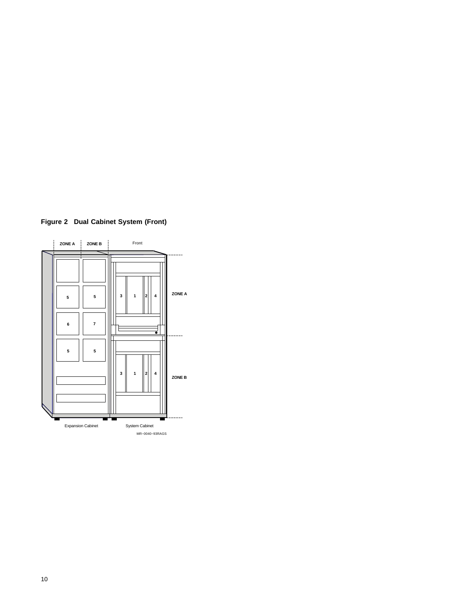

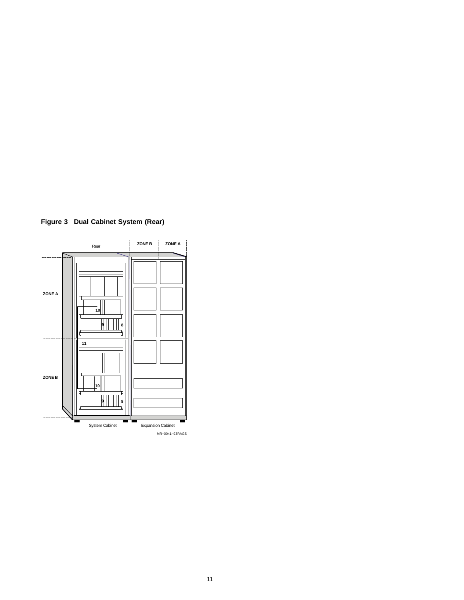

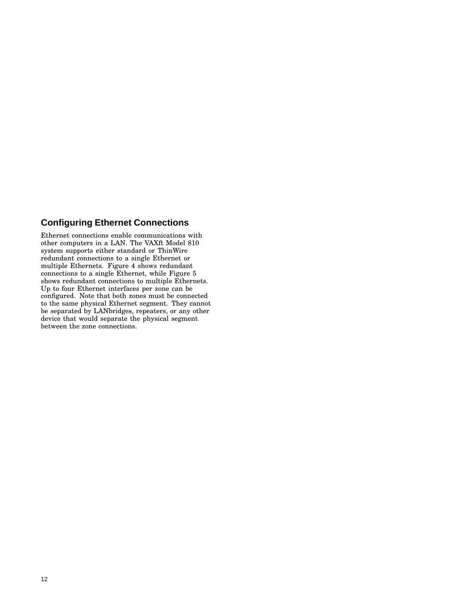# **Configuring Ethernet Connections**

Ethernet connections enable communications with other computers in a LAN. The VAXft Model 810 system supports either standard or ThinWire redundant connections to a single Ethernet or multiple Ethernets. Figure 4 shows redundant connections to a single Ethernet, while Figure 5 shows redundant connections to multiple Ethernets. Up to four Ethernet interfaces per zone can be configured. Note that both zones must be connected to the same physical Ethernet segment. They cannot be separated by LANbridges, repeaters, or any other device that would separate the physical segment between the zone connections.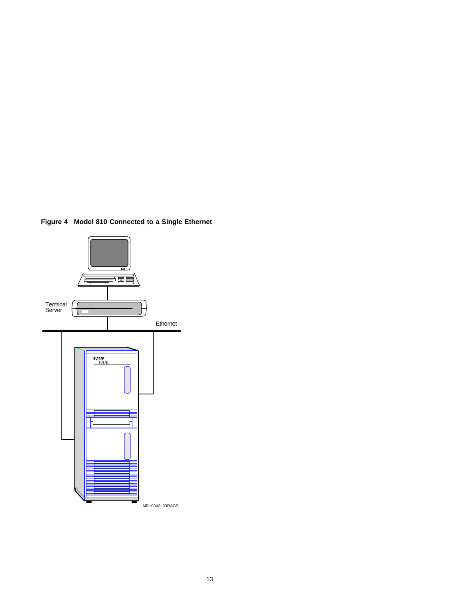**Figure 4 Model 810 Connected to a Single Ethernet**